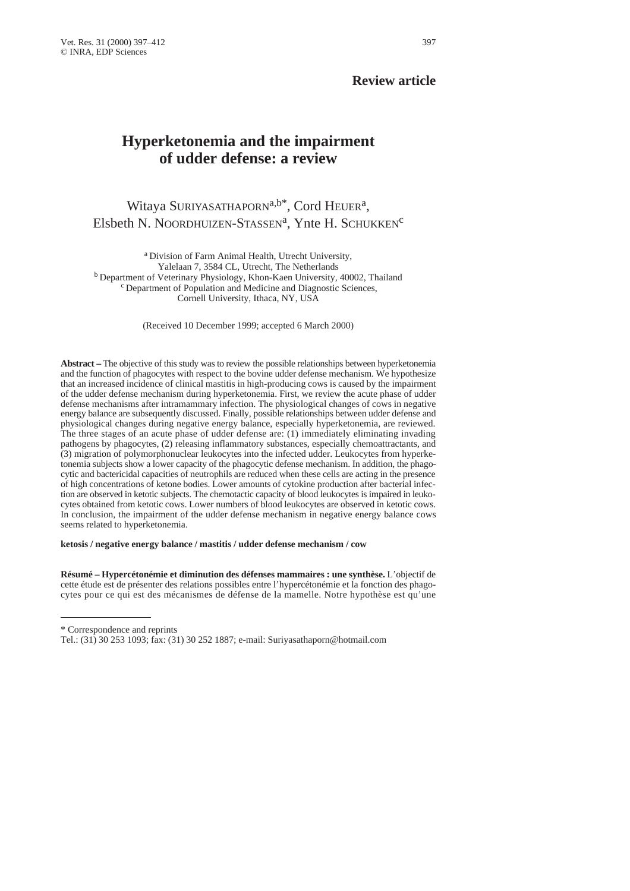# **Review article**

# **Hyperketonemia and the impairment of udder defense: a review**

Witaya SURIYASATHAPORN<sup>a,b\*</sup>, Cord HEUER<sup>a</sup>, Elsbeth N. NOORDHUIZEN-STASSEN<sup>a</sup>, Ynte H. SCHUKKEN<sup>c</sup>

a Division of Farm Animal Health, Utrecht University, Yalelaan 7, 3584 CL, Utrecht, The Netherlands  $\rm^b$  Department of Veterinary Physiology, Khon-Kaen University, 40002, Thailand  $\rm^c$  Department of Population and Medicine and Diagnostic Sciences, Cornell University, Ithaca, NY, USA

(Received 10 December 1999; accepted 6 March 2000)

**Abstract –** The objective of this study was to review the possible relationships between hyperketonemia and the function of phagocytes with respect to the bovine udder defense mechanism. We hypothesize that an increased incidence of clinical mastitis in high-producing cows is caused by the impairment of the udder defense mechanism during hyperketonemia. First, we review the acute phase of udder defense mechanisms after intramammary infection. The physiological changes of cows in negative energy balance are subsequently discussed. Finally, possible relationships between udder defense and physiological changes during negative energy balance, especially hyperketonemia, are reviewed. The three stages of an acute phase of udder defense are: (1) immediately eliminating invading pathogens by phagocytes, (2) releasing inflammatory substances, especially chemoattractants, and (3) migration of polymorphonuclear leukocytes into the infected udder. Leukocytes from hyperketonemia subjects show a lower capacity of the phagocytic defense mechanism. In addition, the phagocytic and bactericidal capacities of neutrophils are reduced when these cells are acting in the presence of high concentrations of ketone bodies. Lower amounts of cytokine production after bacterial infection are observed in ketotic subjects. The chemotactic capacity of blood leukocytes is impaired in leukocytes obtained from ketotic cows. Lower numbers of blood leukocytes are observed in ketotic cows. In conclusion, the impairment of the udder defense mechanism in negative energy balance cows seems related to hyperketonemia.

**ketosis / negative energy balance / mastitis / udder defense mechanism / cow** 

**Résumé – Hypercétonémie et diminution des défenses mammaires : une synthèse.** L'objectif de cette étude est de présenter des relations possibles entre l'hypercétonémie et la fonction des phagocytes pour ce qui est des mécanismes de défense de la mamelle. Notre hypothèse est qu'une

\* Correspondence and reprints

Tel.: (31) 30 253 1093; fax: (31) 30 252 1887; e-mail: Suriyasathaporn@hotmail.com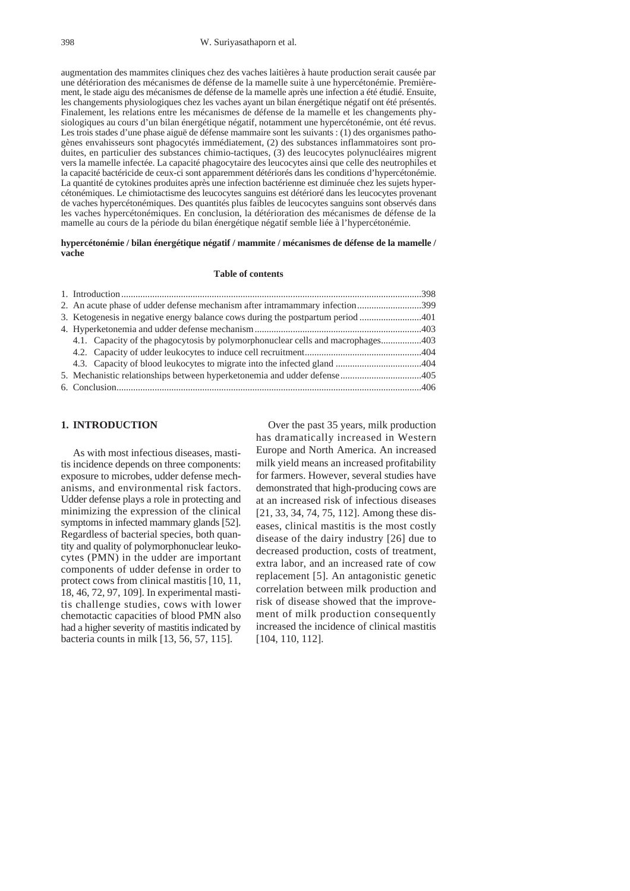#### 398 W. Suriyasathaporn et al.

augmentation des mammites cliniques chez des vaches laitières à haute production serait causée par une détérioration des mécanismes de défense de la mamelle suite à une hypercétonémie. Premièrement, le stade aigu des mécanismes de défense de la mamelle après une infection a été étudié. Ensuite, les changements physiologiques chez les vaches ayant un bilan énergétique négatif ont été présentés. Finalement, les relations entre les mécanismes de défense de la mamelle et les changements physiologiques au cours d'un bilan énergétique négatif, notamment une hypercétonémie, ont été revus. Les trois stades d'une phase aiguë de défense mammaire sont les suivants : (1) des organismes pathogènes envahisseurs sont phagocytés immédiatement, (2) des substances inflammatoires sont produites, en particulier des substances chimio-tactiques, (3) des leucocytes polynucléaires migrent vers la mamelle infectée. La capacité phagocytaire des leucocytes ainsi que celle des neutrophiles et la capacité bactéricide de ceux-ci sont apparemment détériorés dans les conditions d'hypercétonémie. La quantité de cytokines produites après une infection bactérienne est diminuée chez les sujets hypercétonémiques. Le chimiotactisme des leucocytes sanguins est détérioré dans les leucocytes provenant de vaches hypercétonémiques. Des quantités plus faibles de leucocytes sanguins sont observés dans les vaches hypercétonémiques. En conclusion, la détérioration des mécanismes de défense de la mamelle au cours de la période du bilan énergétique négatif semble liée à l'hypercétonémie.

**hypercétonémie / bilan énergétique négatif / mammite / mécanismes de défense de la mamelle / vache**

#### **Table of contents**

| 2. An acute phase of udder defense mechanism after intramammary infection399    |  |
|---------------------------------------------------------------------------------|--|
|                                                                                 |  |
|                                                                                 |  |
| 4.1. Capacity of the phagocytosis by polymorphonuclear cells and macrophages403 |  |
|                                                                                 |  |
|                                                                                 |  |
|                                                                                 |  |
|                                                                                 |  |
|                                                                                 |  |

# **1. INTRODUCTION**

As with most infectious diseases, mastitis incidence depends on three components: exposure to microbes, udder defense mechanisms, and environmental risk factors. Udder defense plays a role in protecting and minimizing the expression of the clinical symptoms in infected mammary glands [52]. Regardless of bacterial species, both quantity and quality of polymorphonuclear leukocytes (PMN) in the udder are important components of udder defense in order to protect cows from clinical mastitis [10, 11, 18, 46, 72, 97, 109]. In experimental mastitis challenge studies, cows with lower chemotactic capacities of blood PMN also had a higher severity of mastitis indicated by bacteria counts in milk [13, 56, 57, 115].

Over the past 35 years, milk production has dramatically increased in Western Europe and North America. An increased milk yield means an increased profitability for farmers. However, several studies have demonstrated that high-producing cows are at an increased risk of infectious diseases [21, 33, 34, 74, 75, 112]. Among these diseases, clinical mastitis is the most costly disease of the dairy industry [26] due to decreased production, costs of treatment, extra labor, and an increased rate of cow replacement [5]. An antagonistic genetic correlation between milk production and risk of disease showed that the improvement of milk production consequently increased the incidence of clinical mastitis [104, 110, 112].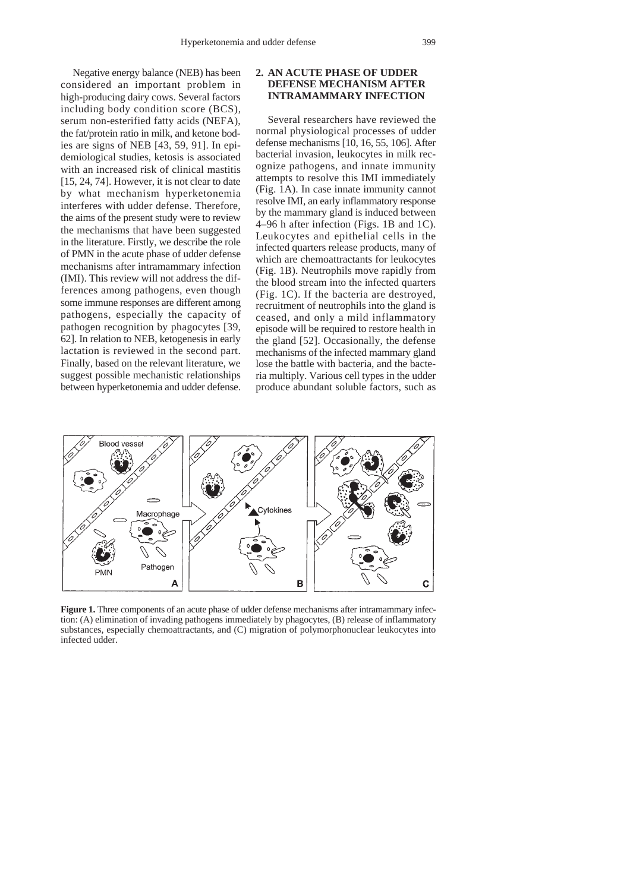Negative energy balance (NEB) has been considered an important problem in high-producing dairy cows. Several factors including body condition score (BCS), serum non-esterified fatty acids (NEFA), the fat/protein ratio in milk, and ketone bodies are signs of NEB [43, 59, 91]. In epidemiological studies, ketosis is associated with an increased risk of clinical mastitis [15, 24, 74]. However, it is not clear to date by what mechanism hyperketonemia interferes with udder defense. Therefore, the aims of the present study were to review the mechanisms that have been suggested in the literature. Firstly, we describe the role of PMN in the acute phase of udder defense mechanisms after intramammary infection (IMI). This review will not address the differences among pathogens, even though some immune responses are different among pathogens, especially the capacity of pathogen recognition by phagocytes [39, 62]. In relation to NEB, ketogenesis in early lactation is reviewed in the second part. Finally, based on the relevant literature, we suggest possible mechanistic relationships between hyperketonemia and udder defense.

#### **2. AN ACUTE PHASE OF UDDER DEFENSE MECHANISM AFTER INTRAMAMMARY INFECTION**

Several researchers have reviewed the normal physiological processes of udder defense mechanisms [10, 16, 55, 106]. After bacterial invasion, leukocytes in milk recognize pathogens, and innate immunity attempts to resolve this IMI immediately (Fig. 1A). In case innate immunity cannot resolve IMI, an early inflammatory response by the mammary gland is induced between 4–96 h after infection (Figs. 1B and 1C). Leukocytes and epithelial cells in the infected quarters release products, many of which are chemoattractants for leukocytes (Fig. 1B). Neutrophils move rapidly from the blood stream into the infected quarters (Fig. 1C). If the bacteria are destroyed, recruitment of neutrophils into the gland is ceased, and only a mild inflammatory episode will be required to restore health in the gland [52]. Occasionally, the defense mechanisms of the infected mammary gland lose the battle with bacteria, and the bacteria multiply. Various cell types in the udder produce abundant soluble factors, such as



**Figure 1.** Three components of an acute phase of udder defense mechanisms after intramammary infection: (A) elimination of invading pathogens immediately by phagocytes, (B) release of inflammatory substances, especially chemoattractants, and (C) migration of polymorphonuclear leukocytes into infected udder.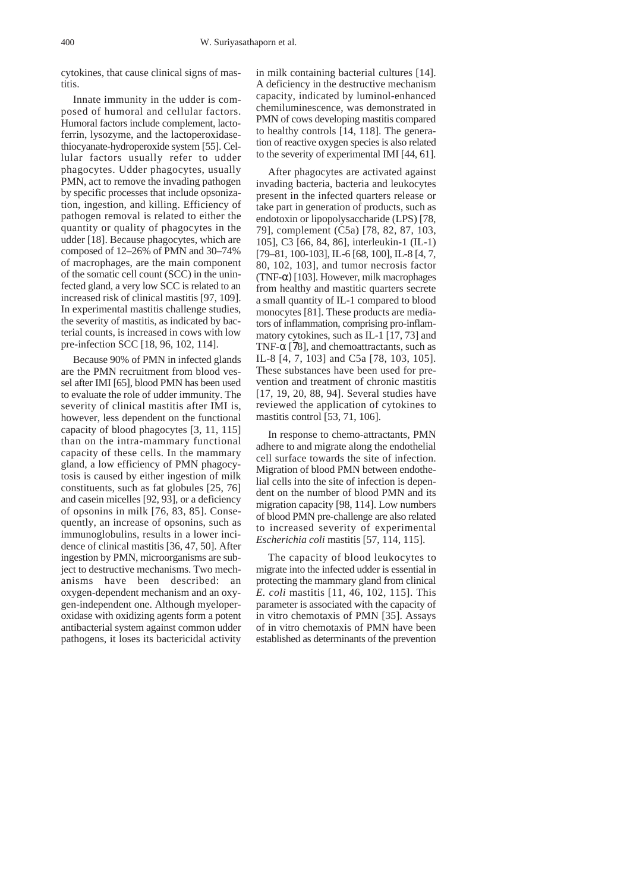cytokines, that cause clinical signs of mastitis.

Innate immunity in the udder is composed of humoral and cellular factors. Humoral factors include complement, lactoferrin, lysozyme, and the lactoperoxidasethiocyanate-hydroperoxide system [55]. Cellular factors usually refer to udder phagocytes. Udder phagocytes, usually PMN, act to remove the invading pathogen by specific processes that include opsonization, ingestion, and killing. Efficiency of pathogen removal is related to either the quantity or quality of phagocytes in the udder [18]. Because phagocytes, which are composed of 12–26% of PMN and 30–74% of macrophages, are the main component of the somatic cell count (SCC) in the uninfected gland, a very low SCC is related to an increased risk of clinical mastitis [97, 109]. In experimental mastitis challenge studies, the severity of mastitis, as indicated by bacterial counts, is increased in cows with low pre-infection SCC [18, 96, 102, 114].

Because 90% of PMN in infected glands are the PMN recruitment from blood vessel after IMI [65], blood PMN has been used to evaluate the role of udder immunity. The severity of clinical mastitis after IMI is, however, less dependent on the functional capacity of blood phagocytes [3, 11, 115] than on the intra-mammary functional capacity of these cells. In the mammary gland, a low efficiency of PMN phagocytosis is caused by either ingestion of milk constituents, such as fat globules [25, 76] and casein micelles [92, 93], or a deficiency of opsonins in milk [76, 83, 85]. Consequently, an increase of opsonins, such as immunoglobulins, results in a lower incidence of clinical mastitis [36, 47, 50]. After ingestion by PMN, microorganisms are subject to destructive mechanisms. Two mechanisms have been described: an oxygen-dependent mechanism and an oxygen-independent one. Although myeloperoxidase with oxidizing agents form a potent antibacterial system against common udder pathogens, it loses its bactericidal activity

in milk containing bacterial cultures [14]. A deficiency in the destructive mechanism capacity, indicated by luminol-enhanced chemiluminescence, was demonstrated in PMN of cows developing mastitis compared to healthy controls [14, 118]. The generation of reactive oxygen species is also related to the severity of experimental IMI [44, 61].

After phagocytes are activated against invading bacteria, bacteria and leukocytes present in the infected quarters release or take part in generation of products, such as endotoxin or lipopolysaccharide (LPS) [78, 79], complement (C5a) [78, 82, 87, 103, 105], C3 [66, 84, 86], interleukin-1 (IL-1) [79–81, 100-103], IL-6 [68, 100], IL-8 [4, 7, 80, 102, 103], and tumor necrosis factor (TNF-α) [103]. However, milk macrophages from healthy and mastitic quarters secrete a small quantity of IL-1 compared to blood monocytes [81]. These products are mediators of inflammation, comprising pro-inflammatory cytokines, such as IL-1 [17, 73] and TNF- $\alpha$  [78], and chemoattractants, such as IL-8 [4, 7, 103] and C5a [78, 103, 105]. These substances have been used for prevention and treatment of chronic mastitis [17, 19, 20, 88, 94]. Several studies have reviewed the application of cytokines to mastitis control [53, 71, 106].

In response to chemo-attractants, PMN adhere to and migrate along the endothelial cell surface towards the site of infection. Migration of blood PMN between endothelial cells into the site of infection is dependent on the number of blood PMN and its migration capacity [98, 114]. Low numbers of blood PMN pre-challenge are also related to increased severity of experimental *Escherichia coli* mastitis [57, 114, 115].

The capacity of blood leukocytes to migrate into the infected udder is essential in protecting the mammary gland from clinical *E. coli* mastitis [11, 46, 102, 115]. This parameter is associated with the capacity of in vitro chemotaxis of PMN [35]. Assays of in vitro chemotaxis of PMN have been established as determinants of the prevention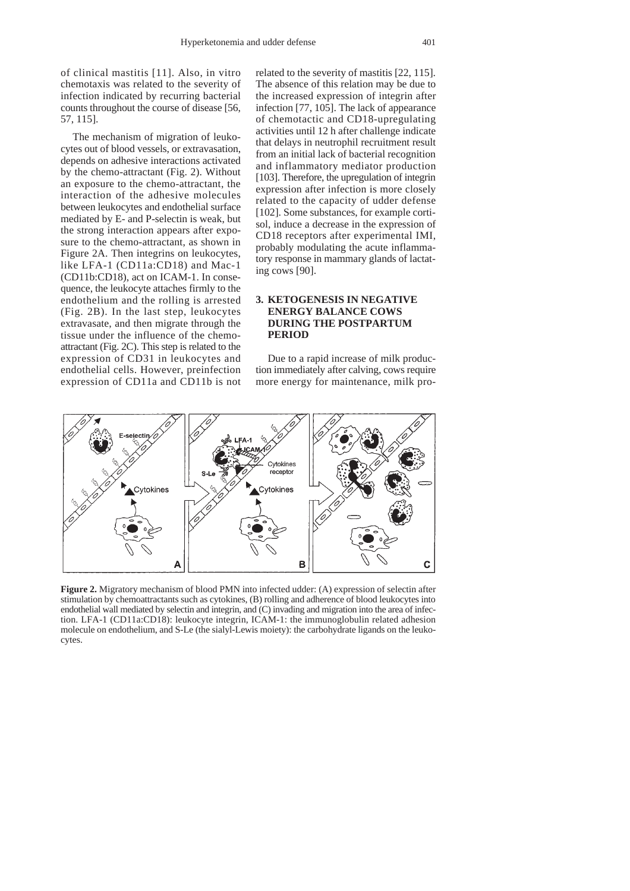of clinical mastitis [11]. Also, in vitro chemotaxis was related to the severity of infection indicated by recurring bacterial counts throughout the course of disease [56, 57, 115].

The mechanism of migration of leukocytes out of blood vessels, or extravasation, depends on adhesive interactions activated by the chemo-attractant (Fig. 2). Without an exposure to the chemo-attractant, the interaction of the adhesive molecules between leukocytes and endothelial surface mediated by E- and P-selectin is weak, but the strong interaction appears after exposure to the chemo-attractant, as shown in Figure 2A. Then integrins on leukocytes, like LFA-1 (CD11a:CD18) and Mac-1 (CD11b:CD18), act on ICAM-1. In consequence, the leukocyte attaches firmly to the endothelium and the rolling is arrested (Fig. 2B). In the last step, leukocytes extravasate, and then migrate through the tissue under the influence of the chemoattractant (Fig. 2C). This step is related to the expression of CD31 in leukocytes and endothelial cells. However, preinfection expression of CD11a and CD11b is not

related to the severity of mastitis [22, 115]. The absence of this relation may be due to the increased expression of integrin after infection [77, 105]. The lack of appearance of chemotactic and CD18-upregulating activities until 12 h after challenge indicate that delays in neutrophil recruitment result from an initial lack of bacterial recognition and inflammatory mediator production [103]. Therefore, the upregulation of integrin expression after infection is more closely related to the capacity of udder defense [102]. Some substances, for example cortisol, induce a decrease in the expression of CD18 receptors after experimental IMI, probably modulating the acute inflammatory response in mammary glands of lactating cows [90].

# **3. KETOGENESIS IN NEGATIVE ENERGY BALANCE COWS DURING THE POSTPARTUM PERIOD**

Due to a rapid increase of milk production immediately after calving, cows require more energy for maintenance, milk pro-



**Figure 2.** Migratory mechanism of blood PMN into infected udder: (A) expression of selectin after stimulation by chemoattractants such as cytokines, (B) rolling and adherence of blood leukocytes into endothelial wall mediated by selectin and integrin, and (C) invading and migration into the area of infection. LFA-1 (CD11a:CD18): leukocyte integrin, ICAM-1: the immunoglobulin related adhesion molecule on endothelium, and S-Le (the sialyl-Lewis moiety): the carbohydrate ligands on the leukocytes.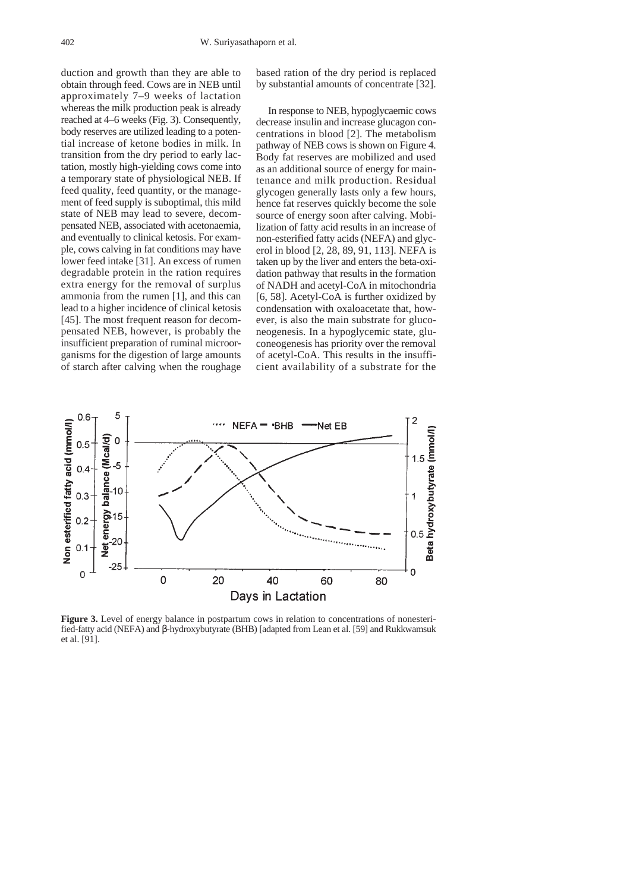duction and growth than they are able to obtain through feed. Cows are in NEB until approximately 7–9 weeks of lactation whereas the milk production peak is already reached at 4–6 weeks (Fig. 3). Consequently, body reserves are utilized leading to a potential increase of ketone bodies in milk. In transition from the dry period to early lactation, mostly high-yielding cows come into a temporary state of physiological NEB. If feed quality, feed quantity, or the management of feed supply is suboptimal, this mild state of NEB may lead to severe, decompensated NEB, associated with acetonaemia, and eventually to clinical ketosis. For example, cows calving in fat conditions may have lower feed intake [31]. An excess of rumen degradable protein in the ration requires extra energy for the removal of surplus ammonia from the rumen [1], and this can lead to a higher incidence of clinical ketosis [45]. The most frequent reason for decompensated NEB, however, is probably the insufficient preparation of ruminal microorganisms for the digestion of large amounts of starch after calving when the roughage

based ration of the dry period is replaced by substantial amounts of concentrate [32].

In response to NEB, hypoglycaemic cows decrease insulin and increase glucagon concentrations in blood [2]. The metabolism pathway of NEB cows is shown on Figure 4. Body fat reserves are mobilized and used as an additional source of energy for maintenance and milk production. Residual glycogen generally lasts only a few hours, hence fat reserves quickly become the sole source of energy soon after calving. Mobilization of fatty acid results in an increase of non-esterified fatty acids (NEFA) and glycerol in blood [2, 28, 89, 91, 113]. NEFA is taken up by the liver and enters the beta-oxidation pathway that results in the formation of NADH and acetyl-CoA in mitochondria [6, 58]. Acetyl-CoA is further oxidized by condensation with oxaloacetate that, however, is also the main substrate for gluconeogenesis. In a hypoglycemic state, gluconeogenesis has priority over the removal of acetyl-CoA. This results in the insufficient availability of a substrate for the



**Figure 3.** Level of energy balance in postpartum cows in relation to concentrations of nonesterified-fatty acid (NEFA) and β-hydroxybutyrate (BHB) [adapted from Lean et al. [59] and Rukkwamsuk et al. [91].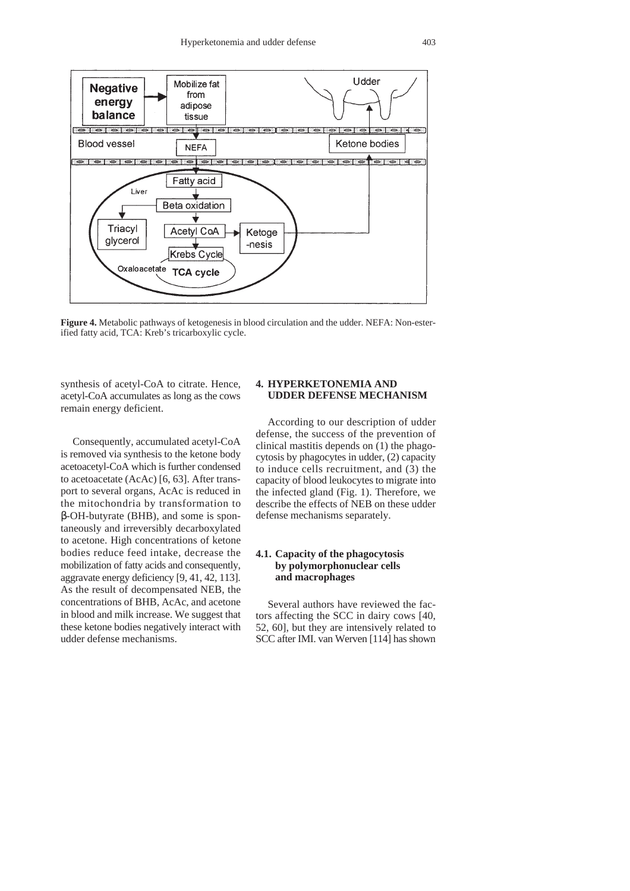

**Figure 4.** Metabolic pathways of ketogenesis in blood circulation and the udder. NEFA: Non-esterified fatty acid, TCA: Kreb's tricarboxylic cycle.

synthesis of acetyl-CoA to citrate. Hence, acetyl-CoA accumulates as long as the cows remain energy deficient.

Consequently, accumulated acetyl-CoA is removed via synthesis to the ketone body acetoacetyl-CoA which is further condensed to acetoacetate (AcAc) [6, 63]. After transport to several organs, AcAc is reduced in the mitochondria by transformation to β-OH-butyrate (BHB), and some is spontaneously and irreversibly decarboxylated to acetone. High concentrations of ketone bodies reduce feed intake, decrease the mobilization of fatty acids and consequently, aggravate energy deficiency [9, 41, 42, 113]. As the result of decompensated NEB, the concentrations of BHB, AcAc, and acetone in blood and milk increase. We suggest that these ketone bodies negatively interact with udder defense mechanisms.

### **4. HYPERKETONEMIA AND UDDER DEFENSE MECHANISM**

According to our description of udder defense, the success of the prevention of clinical mastitis depends on (1) the phagocytosis by phagocytes in udder, (2) capacity to induce cells recruitment, and  $(3)$  the capacity of blood leukocytes to migrate into the infected gland (Fig. 1). Therefore, we describe the effects of NEB on these udder defense mechanisms separately.

#### **4.1. Capacity of the phagocytosis by polymorphonuclear cells and macrophages**

Several authors have reviewed the factors affecting the SCC in dairy cows [40, 52, 60], but they are intensively related to SCC after IMI. van Werven [114] has shown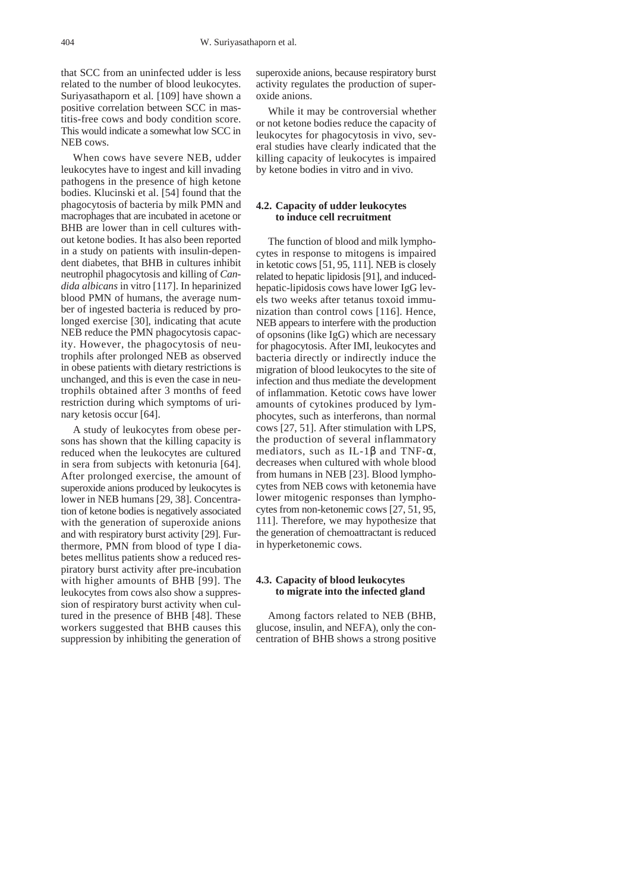that SCC from an uninfected udder is less related to the number of blood leukocytes. Suriyasathaporn et al. [109] have shown a positive correlation between SCC in mastitis-free cows and body condition score. This would indicate a somewhat low SCC in NEB cows.

When cows have severe NEB, udder leukocytes have to ingest and kill invading pathogens in the presence of high ketone bodies. Klucinski et al. [54] found that the phagocytosis of bacteria by milk PMN and macrophages that are incubated in acetone or BHB are lower than in cell cultures without ketone bodies. It has also been reported in a study on patients with insulin-dependent diabetes, that BHB in cultures inhibit neutrophil phagocytosis and killing of *Candida albicans* in vitro [117]. In heparinized blood PMN of humans, the average number of ingested bacteria is reduced by prolonged exercise [30], indicating that acute NEB reduce the PMN phagocytosis capacity. However, the phagocytosis of neutrophils after prolonged NEB as observed in obese patients with dietary restrictions is unchanged, and this is even the case in neutrophils obtained after 3 months of feed restriction during which symptoms of urinary ketosis occur [64].

A study of leukocytes from obese persons has shown that the killing capacity is reduced when the leukocytes are cultured in sera from subjects with ketonuria [64]. After prolonged exercise, the amount of superoxide anions produced by leukocytes is lower in NEB humans [29, 38]. Concentration of ketone bodies is negatively associated with the generation of superoxide anions and with respiratory burst activity [29]. Furthermore, PMN from blood of type I diabetes mellitus patients show a reduced respiratory burst activity after pre-incubation with higher amounts of BHB [99]. The leukocytes from cows also show a suppression of respiratory burst activity when cultured in the presence of BHB [48]. These workers suggested that BHB causes this suppression by inhibiting the generation of

superoxide anions, because respiratory burst activity regulates the production of superoxide anions.

While it may be controversial whether or not ketone bodies reduce the capacity of leukocytes for phagocytosis in vivo, several studies have clearly indicated that the killing capacity of leukocytes is impaired by ketone bodies in vitro and in vivo.

#### **4.2. Capacity of udder leukocytes to induce cell recruitment**

The function of blood and milk lymphocytes in response to mitogens is impaired in ketotic cows [51, 95, 111]. NEB is closely related to hepatic lipidosis [91], and inducedhepatic-lipidosis cows have lower IgG levels two weeks after tetanus toxoid immunization than control cows [116]. Hence, NEB appears to interfere with the production of opsonins (like IgG) which are necessary for phagocytosis. After IMI, leukocytes and bacteria directly or indirectly induce the migration of blood leukocytes to the site of infection and thus mediate the development of inflammation. Ketotic cows have lower amounts of cytokines produced by lymphocytes, such as interferons, than normal cows [27, 51]. After stimulation with LPS, the production of several inflammatory mediators, such as IL-1 $\beta$  and TNF- $\alpha$ , decreases when cultured with whole blood from humans in NEB [23]. Blood lymphocytes from NEB cows with ketonemia have lower mitogenic responses than lymphocytes from non-ketonemic cows [27, 51, 95, 111]. Therefore, we may hypothesize that the generation of chemoattractant is reduced in hyperketonemic cows.

#### **4.3. Capacity of blood leukocytes to migrate into the infected gland**

Among factors related to NEB (BHB, glucose, insulin, and NEFA), only the concentration of BHB shows a strong positive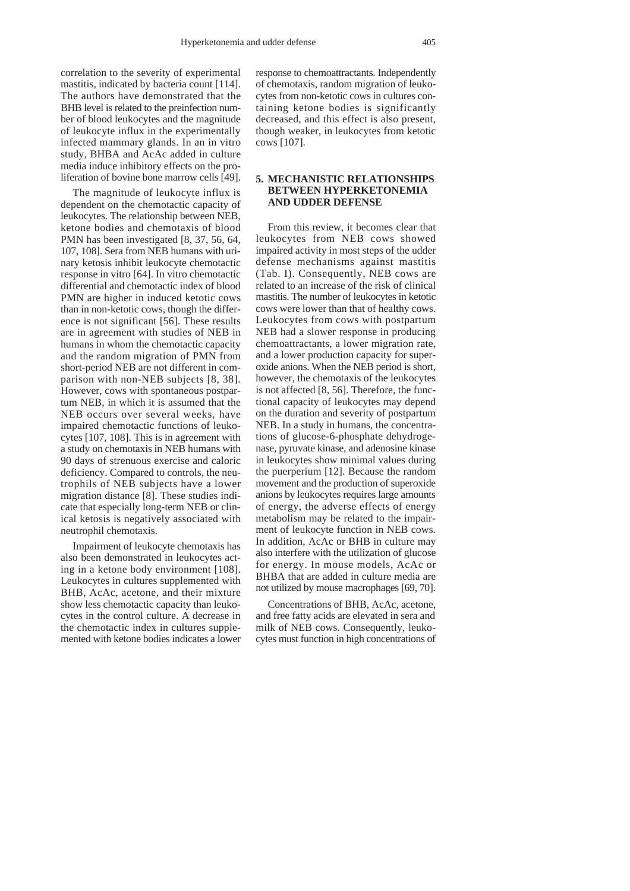correlation to the severity of experimental mastitis, indicated by bacteria count [114]. The authors have demonstrated that the BHB level is related to the preinfection number of blood leukocytes and the magnitude of leukocyte influx in the experimentally infected mammary glands. In an in vitro study, BHBA and AcAc added in culture media induce inhibitory effects on the proliferation of bovine bone marrow cells [49].

The magnitude of leukocyte influx is dependent on the chemotactic capacity of leukocytes. The relationship between NEB, ketone bodies and chemotaxis of blood PMN has been investigated [8, 37, 56, 64,] 107, 108]. Sera from NEB humans with urinary ketosis inhibit leukocyte chemotactic response in vitro [64]. In vitro chemotactic differential and chemotactic index of blood PMN are higher in induced ketotic cows than in non-ketotic cows, though the difference is not significant [56]. These results are in agreement with studies of NEB in humans in whom the chemotactic capacity and the random migration of PMN from short-period NEB are not different in comparison with non-NEB subjects [8, 38]. However, cows with spontaneous postpartum NEB, in which it is assumed that the NEB occurs over several weeks, have impaired chemotactic functions of leukocytes [107, 108]. This is in agreement with a study on chemotaxis in NEB humans with 90 days of strenuous exercise and caloric deficiency. Compared to controls, the neutrophils of NEB subjects have a lower migration distance [8]. These studies indicate that especially long-term NEB or clinical ketosis is negatively associated with neutrophil chemotaxis.

Impairment of leukocyte chemotaxis has also been demonstrated in leukocytes acting in a ketone body environment [108]. Leukocytes in cultures supplemented with BHB, AcAc, acetone, and their mixture show less chemotactic capacity than leukocytes in the control culture. A decrease in the chemotactic index in cultures supplemented with ketone bodies indicates a lower

response to chemoattractants. Independently of chemotaxis, random migration of leukocytes from non-ketotic cows in cultures containing ketone bodies is significantly decreased, and this effect is also present, though weaker, in leukocytes from ketotic cows [107].

#### **5. MECHANISTIC RELATIONSHIPS BETWEEN HYPERKETONEMIA AND UDDER DEFENSE**

From this review, it becomes clear that leukocytes from NEB cows showed impaired activity in most steps of the udder defense mechanisms against mastitis (Tab. I). Consequently, NEB cows are related to an increase of the risk of clinical mastitis. The number of leukocytes in ketotic cows were lower than that of healthy cows. Leukocytes from cows with postpartum NEB had a slower response in producing chemoattractants, a lower migration rate, and a lower production capacity for superoxide anions. When the NEB period is short, however, the chemotaxis of the leukocytes is not affected [8, 56]. Therefore, the functional capacity of leukocytes may depend on the duration and severity of postpartum NEB. In a study in humans, the concentrations of glucose-6-phosphate dehydrogenase, pyruvate kinase, and adenosine kinase in leukocytes show minimal values during the puerperium [12]. Because the random movement and the production of superoxide anions by leukocytes requires large amounts of energy, the adverse effects of energy metabolism may be related to the impairment of leukocyte function in NEB cows. In addition, AcAc or BHB in culture may also interfere with the utilization of glucose for energy. In mouse models, AcAc or BHBA that are added in culture media are not utilized by mouse macrophages [69, 70].

Concentrations of BHB, AcAc, acetone, and free fatty acids are elevated in sera and milk of NEB cows. Consequently, leukocytes must function in high concentrations of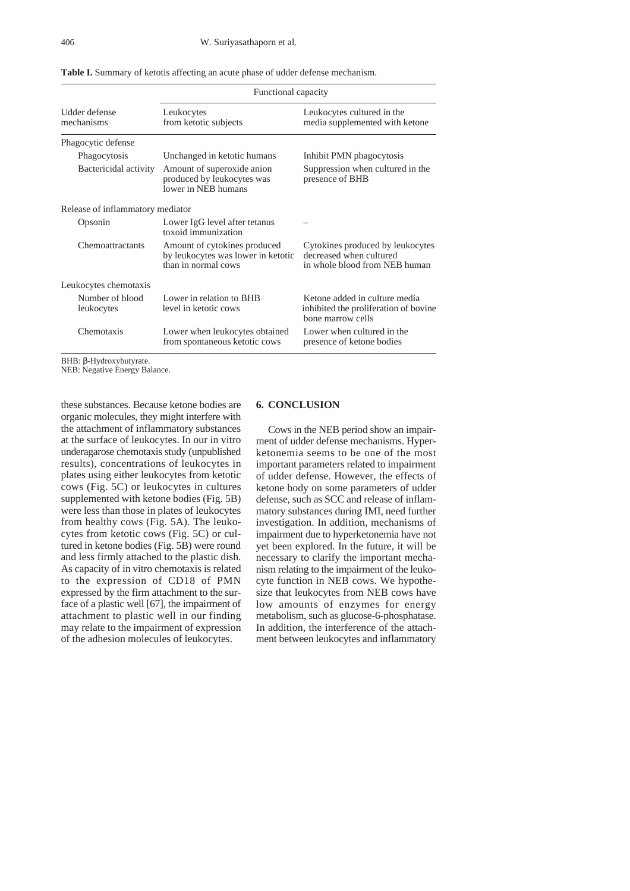| Functional capacity                                                                       |                                                                                              |  |
|-------------------------------------------------------------------------------------------|----------------------------------------------------------------------------------------------|--|
| Leukocytes<br>from ketotic subjects                                                       | Leukocytes cultured in the<br>media supplemented with ketone                                 |  |
|                                                                                           |                                                                                              |  |
| Unchanged in ketotic humans                                                               | Inhibit PMN phagocytosis                                                                     |  |
| Amount of superoxide anion<br>produced by leukocytes was<br>lower in NEB humans           | Suppression when cultured in the<br>presence of BHB                                          |  |
| Release of inflammatory mediator                                                          |                                                                                              |  |
| Lower IgG level after tetanus<br>toxoid immunization                                      |                                                                                              |  |
| Amount of cytokines produced<br>by leukocytes was lower in ketotic<br>than in normal cows | Cytokines produced by leukocytes<br>decreased when cultured<br>in whole blood from NEB human |  |
|                                                                                           |                                                                                              |  |
| Lower in relation to BHB<br>level in ketotic cows                                         | Ketone added in culture media<br>inhibited the proliferation of bovine.<br>bone marrow cells |  |
| Lower when leukocytes obtained<br>from spontaneous ketotic cows                           | Lower when cultured in the<br>presence of ketone bodies                                      |  |
|                                                                                           |                                                                                              |  |

**Table I.** Summary of ketotis affecting an acute phase of udder defense mechanism.

BHB: β-Hydroxybutyrate.

NEB: Negative Energy Balance.

these substances. Because ketone bodies are organic molecules, they might interfere with the attachment of inflammatory substances at the surface of leukocytes. In our in vitro underagarose chemotaxis study (unpublished results), concentrations of leukocytes in plates using either leukocytes from ketotic cows (Fig. 5C) or leukocytes in cultures supplemented with ketone bodies (Fig. 5B) were less than those in plates of leukocytes from healthy cows (Fig. 5A). The leukocytes from ketotic cows (Fig. 5C) or cultured in ketone bodies (Fig. 5B) were round and less firmly attached to the plastic dish. As capacity of in vitro chemotaxis is related to the expression of CD18 of PMN expressed by the firm attachment to the surface of a plastic well [67], the impairment of attachment to plastic well in our finding may relate to the impairment of expression of the adhesion molecules of leukocytes.

# **6. CONCLUSION**

Cows in the NEB period show an impairment of udder defense mechanisms. Hyperketonemia seems to be one of the most important parameters related to impairment of udder defense. However, the effects of ketone body on some parameters of udder defense, such as SCC and release of inflammatory substances during IMI, need further investigation. In addition, mechanisms of impairment due to hyperketonemia have not yet been explored. In the future, it will be necessary to clarify the important mechanism relating to the impairment of the leukocyte function in NEB cows. We hypothesize that leukocytes from NEB cows have low amounts of enzymes for energy metabolism, such as glucose-6-phosphatase. In addition, the interference of the attachment between leukocytes and inflammatory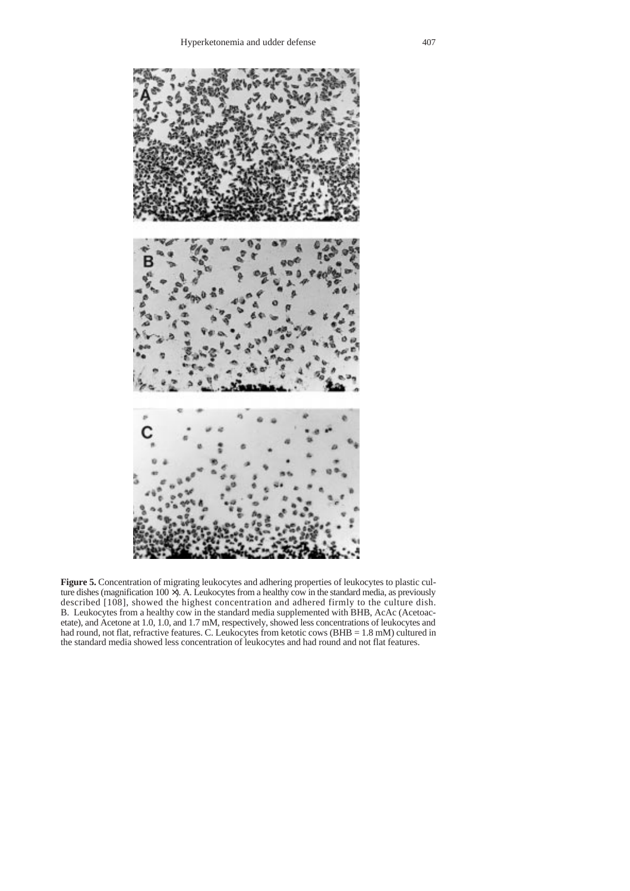

**Figure 5.** Concentration of migrating leukocytes and adhering properties of leukocytes to plastic culture dishes (magnification 100 ×). A. Leukocytes from a healthy cow in the standard media, as previously described [108], showed the highest concentration and adhered firmly to the culture dish. B. Leukocytes from a healthy cow in the standard media supplemented with BHB, AcAc (Acetoacetate), and Acetone at 1.0, 1.0, and 1.7 mM, respectively, showed less concentrations of leukocytes and had round, not flat, refractive features. C. Leukocytes from ketotic cows (BHB = 1.8 mM) cultured in the standard media showed less concentration of leukocytes and had round and not flat features.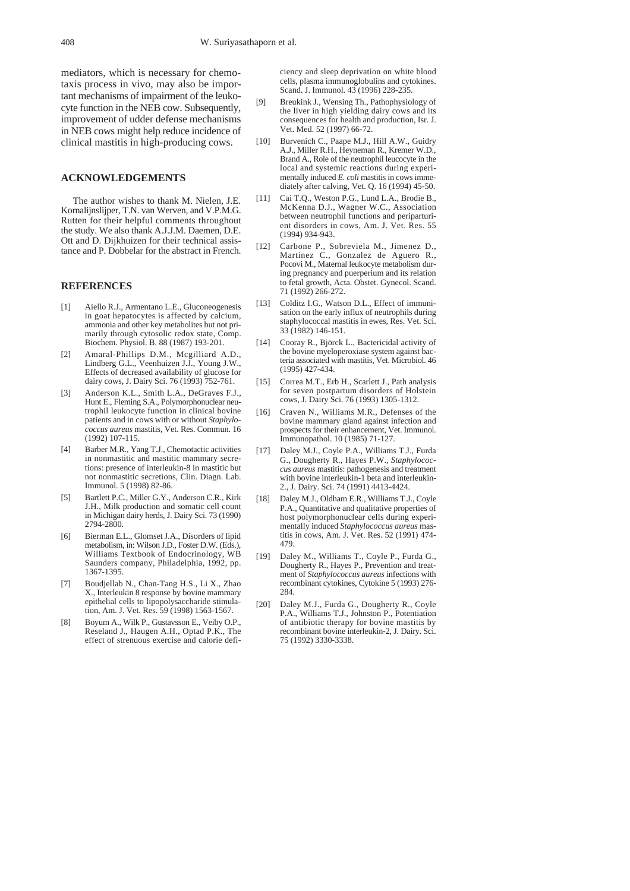mediators, which is necessary for chemotaxis process in vivo, may also be important mechanisms of impairment of the leukocyte function in the NEB cow. Subsequently, improvement of udder defense mechanisms in NEB cows might help reduce incidence of clinical mastitis in high-producing cows.

# **ACKNOWLEDGEMENTS**

The author wishes to thank M. Nielen, J.E. Kornalijnslijper, T.N. van Werven, and V.P.M.G. Rutten for their helpful comments throughout the study. We also thank A.J.J.M. Daemen, D.E. Ott and D. Dijkhuizen for their technical assistance and P. Dobbelar for the abstract in French.

#### **REFERENCES**

- [1] Aiello R.J., Armentano L.E., Gluconeogenesis in goat hepatocytes is affected by calcium, ammonia and other key metabolites but not primarily through cytosolic redox state, Comp. Biochem. Physiol. B. 88 (1987) 193-201.
- [2] Amaral-Phillips D.M., Mcgilliard A.D., Lindberg G.L., Veenhuizen J.J., Young J.W., Effects of decreased availability of glucose for dairy cows, J. Dairy Sci. 76 (1993) 752-761.
- [3] Anderson K.L., Smith L.A., DeGraves F.J., Hunt E., Fleming S.A., Polymorphonuclear neutrophil leukocyte function in clinical bovine patients and in cows with or without *Staphylococcus aureus* mastitis, Vet. Res. Commun. 16 (1992) 107-115.
- [4] Barber M.R., Yang T.J., Chemotactic activities in nonmastitic and mastitic mammary secretions: presence of interleukin-8 in mastitic but not nonmastitic secretions, Clin. Diagn. Lab. Immunol. 5 (1998) 82-86.
- [5] Bartlett P.C., Miller G.Y., Anderson C.R., Kirk J.H., Milk production and somatic cell count in Michigan dairy herds, J. Dairy Sci. 73 (1990) 2794-2800.
- [6] Bierman E.L., Glomset J.A., Disorders of lipid metabolism, in: Wilson J.D., Foster D.W. (Eds.), Williams Textbook of Endocrinology, WB Saunders company, Philadelphia, 1992, pp. 1367-1395.
- [7] Boudjellab N., Chan-Tang H.S., Li X., Zhao X., Interleukin 8 response by bovine mammary epithelial cells to lipopolysaccharide stimulation, Am. J. Vet. Res. 59 (1998) 1563-1567.
- [8] Boyum A., Wilk P., Gustavsson E., Veiby O.P., Reseland J., Haugen A.H., Optad P.K., The effect of strenuous exercise and calorie defi-

ciency and sleep deprivation on white blood cells, plasma immunoglobulins and cytokines. Scand. J. Immunol. 43 (1996) 228-235.

- [9] Breukink J., Wensing Th., Pathophysiology of the liver in high yielding dairy cows and its consequences for health and production, Isr. J. Vet. Med. 52 (1997) 66-72.
- [10] Burvenich C., Paape M.J., Hill A.W., Guidry A.J., Miller R.H., Heyneman R., Kremer W.D., Brand A., Role of the neutrophil leucocyte in the local and systemic reactions during experimentally induced *E. coli* mastitis in cows immediately after calving, Vet. Q. 16 (1994) 45-50.
- [11] Cai T.Q., Weston P.G., Lund L.A., Brodie B., McKenna D.J., Wagner W.C., Association between neutrophil functions and periparturient disorders in cows, Am. J. Vet. Res. 55 (1994) 934-943.
- [12] Carbone P., Sobreviela M., Jimenez D., Martinez C., Gonzalez de Aguero R., Pocovi M., Maternal leukocyte metabolism during pregnancy and puerperium and its relation to fetal growth, Acta. Obstet. Gynecol. Scand. 71 (1992) 266-272.
- [13] Colditz I.G., Watson D.L., Effect of immunisation on the early influx of neutrophils during staphylococcal mastitis in ewes, Res. Vet. Sci. 33 (1982) 146-151.
- [14] Cooray R., Björck L., Bactericidal activity of the bovine myeloperoxiase system against bacteria associated with mastitis, Vet. Microbiol. 46 (1995) 427-434.
- [15] Correa M.T., Erb H., Scarlett J., Path analysis for seven postpartum disorders of Holstein cows, J. Dairy Sci. 76 (1993) 1305-1312.
- Craven N., Williams M.R., Defenses of the bovine mammary gland against infection and prospects for their enhancement, Vet. Immunol. Immunopathol. 10 (1985) 71-127.
- [17] Daley M.J., Coyle P.A., Williams T.J., Furda G., Dougherty R., Hayes P.W., *Staphylococcus aureus* mastitis: pathogenesis and treatment with bovine interleukin-1 beta and interleukin-2., J. Dairy. Sci. 74 (1991) 4413-4424.
- [18] Daley M.J., Oldham E.R., Williams T.J., Coyle P.A., Quantitative and qualitative properties of host polymorphonuclear cells during experimentally induced *Staphylococcus aureus* mastitis in cows, Am. J. Vet. Res. 52 (1991) 474- 479.
- [19] Daley M., Williams T., Coyle P., Furda G., Dougherty R., Hayes P., Prevention and treatment of *Staphylococcus aureus* infections with recombinant cytokines, Cytokine 5 (1993) 276- 284.
- [20] Daley M.J., Furda G., Dougherty R., Coyle P.A., Williams T.J., Johnston P., Potentiation of antibiotic therapy for bovine mastitis by recombinant bovine interleukin-2, J. Dairy. Sci. 75 (1992) 3330-3338.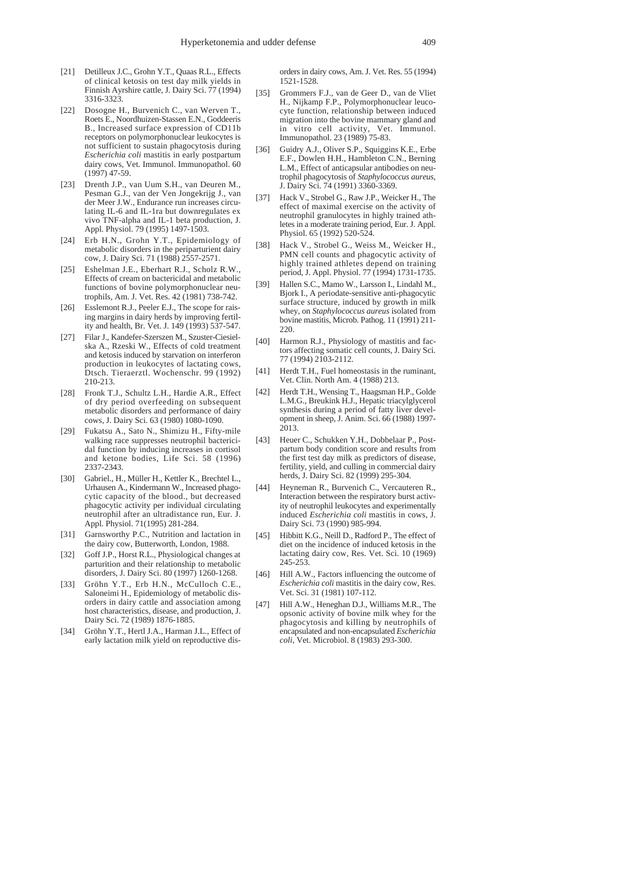- [21] Detilleux J.C., Grohn Y.T., Quaas R.L., Effects of clinical ketosis on test day milk yields in Finnish Ayrshire cattle, J. Dairy Sci. 77 (1994) 3316-3323.
- [22] Dosogne H., Burvenich C., van Werven T., Roets E., Noordhuizen-Stassen E.N., Goddeeris B., Increased surface expression of CD11b receptors on polymorphonuclear leukocytes is not sufficient to sustain phagocytosis during *Escherichia coli* mastitis in early postpartum dairy cows, Vet. Immunol. Immunopathol. 60 (1997) 47-59.
- [23] Drenth J.P., van Uum S.H., van Deuren M., Pesman G.J., van der Ven Jongekrijg J., van der Meer J.W., Endurance run increases circulating IL-6 and IL-1ra but downregulates ex vivo TNF-alpha and IL-1 beta production, J. Appl. Physiol. 79 (1995) 1497-1503.
- [24] Erb H.N., Grohn Y.T., Epidemiology of metabolic disorders in the periparturient dairy cow, J. Dairy Sci. 71 (1988) 2557-2571.
- [25] Eshelman J.E., Eberhart R.J., Scholz R.W., Effects of cream on bactericidal and metabolic functions of bovine polymorphonuclear neutrophils, Am. J. Vet. Res. 42 (1981) 738-742.
- [26] Esslemont R.J., Peeler E.J., The scope for raising margins in dairy herds by improving fertility and health, Br. Vet. J. 149 (1993) 537-547.
- [27] Filar J., Kandefer-Szerszen M., Szuster-Ciesielska A., Rzeski W., Effects of cold treatment and ketosis induced by starvation on interferon production in leukocytes of lactating cows, Dtsch. Tieraerztl. Wochenschr. 99 (1992) 210-213.
- [28] Fronk T.J., Schultz L.H., Hardie A.R., Effect of dry period overfeeding on subsequent metabolic disorders and performance of dairy cows, J. Dairy Sci. 63 (1980) 1080-1090.
- [29] Fukatsu A., Sato N., Shimizu H., Fifty-mile walking race suppresses neutrophil bactericidal function by inducing increases in cortisol and ketone bodies, Life Sci. 58 (1996) 2337-2343.
- [30] Gabriel., H., Müller H., Kettler K., Brechtel L., Urhausen A., Kindermann W., Increased phagocytic capacity of the blood., but decreased phagocytic activity per individual circulating neutrophil after an ultradistance run, Eur. J. Appl. Physiol. 71(1995) 281-284.
- [31] Garnsworthy P.C., Nutrition and lactation in the dairy cow, Butterworth, London, 1988.
- [32] Goff J.P., Horst R.L., Physiological changes at parturition and their relationship to metabolic disorders, J. Dairy Sci. 80 (1997) 1260-1268.
- [33] Gröhn Y.T., Erb H.N., McCulloch C.E., Saloneimi H., Epidemiology of metabolic disorders in dairy cattle and association among host characteristics, disease, and production, J. Dairy Sci. 72 (1989) 1876-1885.
- [34] Gröhn Y.T., Hertl J.A., Harman J.L., Effect of early lactation milk yield on reproductive dis-

orders in dairy cows, Am. J. Vet. Res. 55 (1994) 1521-1528.

- [35] Grommers F.J., van de Geer D., van de Vliet H., Nijkamp F.P., Polymorphonuclear leucocyte function, relationship between induced migration into the bovine mammary gland and in vitro cell activity, Vet. Immunol. Immunopathol. 23 (1989) 75-83.
- [36] Guidry A.J., Oliver S.P., Squiggins K.E., Erbe E.F., Dowlen H.H., Hambleton C.N., Berning L.M., Effect of anticapsular antibodies on neutrophil phagocytosis of *Staphylococcus aureus*, J. Dairy Sci. 74 (1991) 3360-3369.
- [37] Hack V., Strobel G., Raw J.P., Weicker H., The effect of maximal exercise on the activity of neutrophil granulocytes in highly trained athletes in a moderate training period, Eur. J. Appl. Physiol. 65 (1992) 520-524.
- Hack V., Strobel G., Weiss M., Weicker H., PMN cell counts and phagocytic activity of highly trained athletes depend on training period, J. Appl. Physiol. 77 (1994) 1731-1735.
- [39] Hallen S.C., Mamo W., Larsson I., Lindahl M., Bjork I., A periodate-sensitive anti-phagocytic surface structure, induced by growth in milk whey, on *Staphylococcus aureus* isolated from bovine mastitis, Microb. Pathog. 11 (1991) 211-220.
- [40] Harmon R.J., Physiology of mastitis and factors affecting somatic cell counts, J. Dairy Sci. 77 (1994) 2103-2112.
- [41] Herdt T.H., Fuel homeostasis in the ruminant, Vet. Clin. North Am. 4 (1988) 213.
- [42] Herdt T.H., Wensing T., Haagsman H.P., Golde L.M.G., Breukink H.J., Hepatic triacylglycerol synthesis during a period of fatty liver development in sheep, J. Anim. Sci. 66 (1988) 1997- 2013.
- [43] Heuer C., Schukken Y.H., Dobbelaar P., Postpartum body condition score and results from the first test day milk as predictors of disease, fertility, yield, and culling in commercial dairy herds, J. Dairy Sci. 82 (1999) 295-304.
- [44] Heyneman R., Burvenich C., Vercauteren R., Interaction between the respiratory burst activity of neutrophil leukocytes and experimentally induced *Escherichia coli* mastitis in cows, J. Dairy Sci. 73 (1990) 985-994.
- [45] Hibbitt K.G., Neill D., Radford P., The effect of diet on the incidence of induced ketosis in the lactating dairy cow, Res. Vet. Sci. 10 (1969) 245-253.
- [46] Hill A.W., Factors influencing the outcome of *Escherichia coli* mastitis in the dairy cow, Res. Vet. Sci. 31 (1981) 107-112.
- [47] Hill A.W., Heneghan D.J., Williams M.R., The opsonic activity of bovine milk whey for the phagocytosis and killing by neutrophils of encapsulated and non-encapsulated *Escherichia coli*, Vet. Microbiol. 8 (1983) 293-300.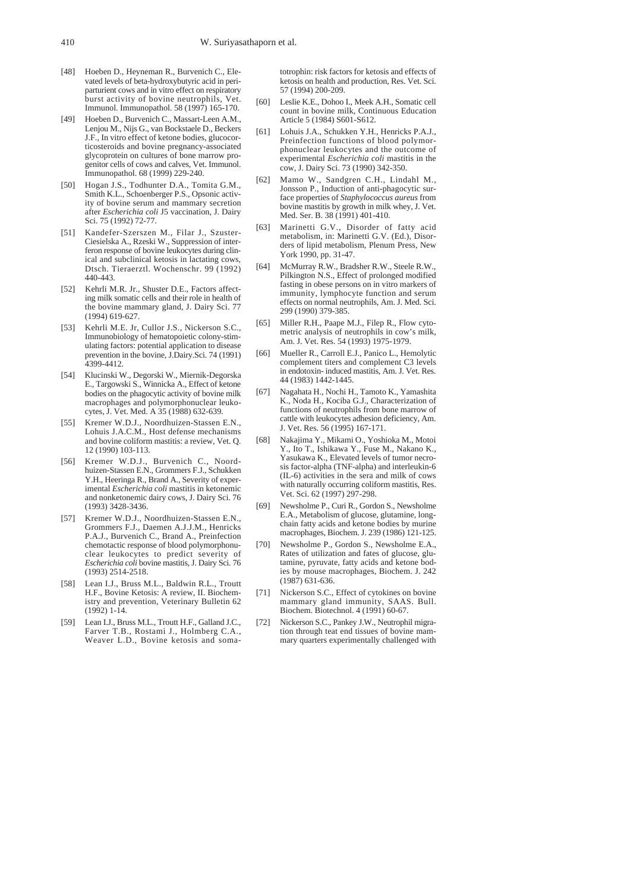- [48] Hoeben D., Heyneman R., Burvenich C., Elevated levels of beta-hydroxybutyric acid in periparturient cows and in vitro effect on respiratory burst activity of bovine neutrophils, Vet. Immunol. Immunopathol. 58 (1997) 165-170.
- [49] Hoeben D., Burvenich C., Massart-Leen A.M., Lenjou M., Nijs G., van Bockstaele D., Beckers J.F., In vitro effect of ketone bodies, glucocorticosteroids and bovine pregnancy-associated glycoprotein on cultures of bone marrow progenitor cells of cows and calves, Vet. Immunol. Immunopathol. 68 (1999) 229-240.
- [50] Hogan J.S., Todhunter D.A., Tomita G.M., Smith K.L., Schoenberger P.S., Opsonic activity of bovine serum and mammary secretion after *Escherichia coli* J5 vaccination, J. Dairy Sci. 75 (1992) 72-77.
- [51] Kandefer-Szerszen M., Filar J., Szuster-Ciesielska A., Rzeski W., Suppression of interferon response of bovine leukocytes during clinical and subclinical ketosis in lactating cows, Dtsch. Tieraerztl. Wochenschr. 99 (1992) 440-443.
- [52] Kehrli M.R. Jr., Shuster D.E., Factors affecting milk somatic cells and their role in health of the bovine mammary gland, J. Dairy Sci. 77 (1994) 619-627.
- [53] Kehrli M.E. Jr, Cullor J.S., Nickerson S.C., Immunobiology of hematopoietic colony-stimulating factors: potential application to disease prevention in the bovine, J.Dairy.Sci. 74 (1991) 4399-4412.
- [54] Klucinski W., Degorski W., Miernik-Degorska E., Targowski S., Winnicka A., Effect of ketone bodies on the phagocytic activity of bovine milk macrophages and polymorphonuclear leukocytes, J. Vet. Med. A 35 (1988) 632-639.
- [55] Kremer W.D.J., Noordhuizen-Stassen E.N., Lohuis J.A.C.M., Host defense mechanisms and bovine coliform mastitis: a review, Vet. Q. 12 (1990) 103-113.
- [56] Kremer W.D.J., Burvenich C., Noordhuizen-Stassen E.N., Grommers F.J., Schukken Y.H., Heeringa R., Brand A., Severity of experimental *Escherichia coli* mastitis in ketonemic and nonketonemic dairy cows, J. Dairy Sci. 76 (1993) 3428-3436.
- [57] Kremer W.D.J., Noordhuizen-Stassen E.N., Grommers F.J., Daemen A.J.J.M., Henricks P.A.J., Burvenich C., Brand A., Preinfection chemotactic response of blood polymorphonuclear leukocytes to predict severity of *Escherichia coli* bovine mastitis, J. Dairy Sci. 76 (1993) 2514-2518.
- [58] Lean I.J., Bruss M.L., Baldwin R.L., Troutt H.F., Bovine Ketosis: A review, II. Biochemistry and prevention, Veterinary Bulletin 62  $(1992)$  1-14.
- [59] Lean I.J., Bruss M.L., Troutt H.F., Galland J.C., Farver T.B., Rostami J., Holmberg C.A., Weaver L.D., Bovine ketosis and soma-

totrophin: risk factors for ketosis and effects of ketosis on health and production, Res. Vet. Sci. 57 (1994) 200-209.

- [60] Leslie K.E., Dohoo I., Meek A.H., Somatic cell count in bovine milk, Continuous Education Article 5 (1984) S601-S612.
- [61] Lohuis J.A., Schukken Y.H., Henricks P.A.J., Preinfection functions of blood polymorphonuclear leukocytes and the outcome of experimental *Escherichia coli* mastitis in the cow, J. Dairy Sci. 73 (1990) 342-350.
- [62] Mamo W., Sandgren C.H., Lindahl M., Jonsson P., Induction of anti-phagocytic surface properties of *Staphylococcus aureus* from bovine mastitis by growth in milk whey, J. Vet. Med. Ser. B. 38 (1991) 401-410.
- [63] Marinetti G.V., Disorder of fatty acid metabolism, in: Marinetti G.V. (Ed.), Disorders of lipid metabolism, Plenum Press, New York 1990, pp. 31-47.
- [64] McMurray R.W., Bradsher R.W., Steele R.W., Pilkington N.S., Effect of prolonged modified fasting in obese persons on in vitro markers of immunity, lymphocyte function and serum effects on normal neutrophils, Am. J. Med. Sci. 299 (1990) 379-385.
- [65] Miller R.H., Paape M.J., Filep R., Flow cytometric analysis of neutrophils in cow's milk, Am. J. Vet. Res. 54 (1993) 1975-1979.
- [66] Mueller R., Carroll E.J., Panico L., Hemolytic complement titers and complement C3 levels in endotoxin- induced mastitis, Am. J. Vet. Res. 44 (1983) 1442-1445.
- [67] Nagahata H., Nochi H., Tamoto K., Yamashita K., Noda H., Kociba G.J., Characterization of functions of neutrophils from bone marrow of cattle with leukocytes adhesion deficiency, Am. J. Vet. Res. 56 (1995) 167-171.
- [68] Nakajima Y., Mikami O., Yoshioka M., Motoi Y., Ito T., Ishikawa Y., Fuse M., Nakano K., Yasukawa K., Elevated levels of tumor necrosis factor-alpha (TNF-alpha) and interleukin-6 (IL-6) activities in the sera and milk of cows with naturally occurring coliform mastitis, Res. Vet. Sci. 62 (1997) 297-298.
- [69] Newsholme P., Curi R., Gordon S., Newsholme E.A., Metabolism of glucose, glutamine, longchain fatty acids and ketone bodies by murine macrophages, Biochem. J. 239 (1986) 121-125.
- [70] Newsholme P., Gordon S., Newsholme E.A., Rates of utilization and fates of glucose, glutamine, pyruvate, fatty acids and ketone bodies by mouse macrophages, Biochem. J. 242 (1987) 631-636.
- [71] Nickerson S.C., Effect of cytokines on bovine mammary gland immunity, SAAS. Bull. Biochem. Biotechnol. 4 (1991) 60-67.
- [72] Nickerson S.C., Pankey J.W., Neutrophil migration through teat end tissues of bovine mammary quarters experimentally challenged with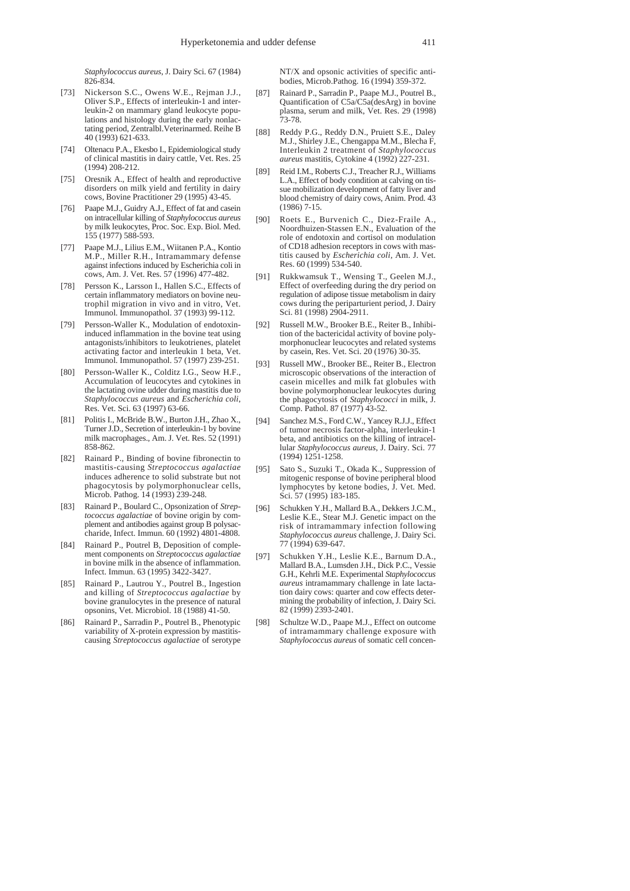*Staphylococcus aureus*, J. Dairy Sci. 67 (1984) 826-834.

- [73] Nickerson S.C., Owens W.E., Reiman J.J., Oliver S.P., Effects of interleukin-1 and interleukin-2 on mammary gland leukocyte populations and histology during the early nonlactating period, Zentralbl.Veterinarmed. Reihe B 40 (1993) 621-633.
- [74] Oltenacu P.A., Ekesbo I., Epidemiological study of clinical mastitis in dairy cattle, Vet. Res. 25 (1994) 208-212.
- [75] Oresnik A., Effect of health and reproductive disorders on milk yield and fertility in dairy cows, Bovine Practitioner 29 (1995) 43-45.
- [76] Paape M.J., Guidry A.J., Effect of fat and casein on intracellular killing of *Staphylococcus aureus* by milk leukocytes, Proc. Soc. Exp. Biol. Med. 155 (1977) 588-593.
- [77] Paape M.J., Lilius E.M., Wiitanen P.A., Kontio M.P., Miller R.H., Intramammary defense against infections induced by Escherichia coli in cows, Am. J. Vet. Res. 57 (1996) 477-482.
- [78] Persson K., Larsson I., Hallen S.C., Effects of certain inflammatory mediators on bovine neutrophil migration in vivo and in vitro, Vet. Immunol. Immunopathol. 37 (1993) 99-112.
- [79] Persson-Waller K., Modulation of endotoxininduced inflammation in the bovine teat using antagonists/inhibitors to leukotrienes, platelet activating factor and interleukin 1 beta, Vet. Immunol. Immunopathol. 57 (1997) 239-251.
- [80] Persson-Waller K., Colditz I.G., Seow H.F., Accumulation of leucocytes and cytokines in the lactating ovine udder during mastitis due to *Staphylococcus aureus* and *Escherichia coli*, Res. Vet. Sci. 63 (1997) 63-66.
- [81] Politis I., McBride B.W., Burton J.H., Zhao X., Turner J.D., Secretion of interleukin-1 by bovine milk macrophages., Am. J. Vet. Res. 52 (1991) 858-862.
- [82] Rainard P., Binding of bovine fibronectin to mastitis-causing *Streptococcus agalactiae* induces adherence to solid substrate but not phagocytosis by polymorphonuclear cells, Microb. Pathog. 14 (1993) 239-248.
- [83] Rainard P., Boulard C., Opsonization of *Streptococcus agalactiae* of bovine origin by complement and antibodies against group B polysaccharide, Infect. Immun. 60 (1992) 4801-4808.
- [84] Rainard P., Poutrel B. Deposition of complement components on *Streptococcus agalactiae* in bovine milk in the absence of inflammation. Infect. Immun. 63 (1995) 3422-3427.
- [85] Rainard P., Lautrou Y., Poutrel B., Ingestion and killing of *Streptococcus agalactiae* by bovine granulocytes in the presence of natural opsonins, Vet. Microbiol. 18 (1988) 41-50.
- [86] Rainard P., Sarradin P., Poutrel B., Phenotypic variability of X-protein expression by mastitiscausing *Streptococcus agalactiae* of serotype

NT/X and opsonic activities of specific antibodies, Microb.Pathog. 16 (1994) 359-372.

- [87] Rainard P., Sarradin P., Paape M.J., Poutrel B., Quantification of C5a/C5a(desArg) in bovine plasma, serum and milk, Vet. Res. 29 (1998) 73-78.
- [88] Reddy P.G., Reddy D.N., Pruiett S.E., Daley M.J., Shirley J.E., Chengappa M.M., Blecha F, Interleukin 2 treatment of *Staphylococcus aureus* mastitis, Cytokine 4 (1992) 227-231.
- [89] Reid I.M., Roberts C.J., Treacher R.J., Williams L.A., Effect of body condition at calving on tissue mobilization development of fatty liver and blood chemistry of dairy cows, Anim. Prod. 43 (1986) 7-15.
- [90] Roets E., Burvenich C., Diez-Fraile A., Noordhuizen-Stassen E.N., Evaluation of the role of endotoxin and cortisol on modulation of CD18 adhesion receptors in cows with mastitis caused by *Escherichia coli*, Am. J. Vet. Res. 60 (1999) 534-540.
- [91] Rukkwamsuk T., Wensing T., Geelen M.J., Effect of overfeeding during the dry period on regulation of adipose tissue metabolism in dairy cows during the periparturient period, J. Dairy Sci. 81 (1998) 2904-2911.
- [92] Russell M.W., Brooker B.E., Reiter B., Inhibition of the bactericidal activity of bovine polymorphonuclear leucocytes and related systems by casein, Res. Vet. Sci. 20 (1976) 30-35.
- [93] Russell MW., Brooker BE., Reiter B., Electron microscopic observations of the interaction of casein micelles and milk fat globules with bovine polymorphonuclear leukocytes during the phagocytosis of *Staphylococci* in milk, J. Comp. Pathol. 87 (1977) 43-52.
- [94] Sanchez M.S., Ford C.W., Yancey R.J.J., Effect of tumor necrosis factor-alpha, interleukin-1 beta, and antibiotics on the killing of intracellular *Staphylococcus aureus*, J. Dairy. Sci. 77 (1994) 1251-1258.
- [95] Sato S., Suzuki T., Okada K., Suppression of mitogenic response of bovine peripheral blood lymphocytes by ketone bodies, J. Vet. Med. Sci. 57 (1995) 183-185.
- [96] Schukken Y.H., Mallard B.A., Dekkers J.C.M., Leslie K.E., Stear M.J. Genetic impact on the risk of intramammary infection following *Staphylococcus aureus* challenge, J. Dairy Sci. 77 (1994) 639-647.
- [97] Schukken Y.H., Leslie K.E., Barnum D.A., Mallard B.A., Lumsden J.H., Dick P.C., Vessie G.H., Kehrli M.E. Experimental *Staphylococcus aureus* intramammary challenge in late lactation dairy cows: quarter and cow effects determining the probability of infection, J. Dairy Sci. 82 (1999) 2393-2401.
- [98] Schultze W.D., Paape M.J., Effect on outcome of intramammary challenge exposure with *Staphylococcus aureus* of somatic cell concen-